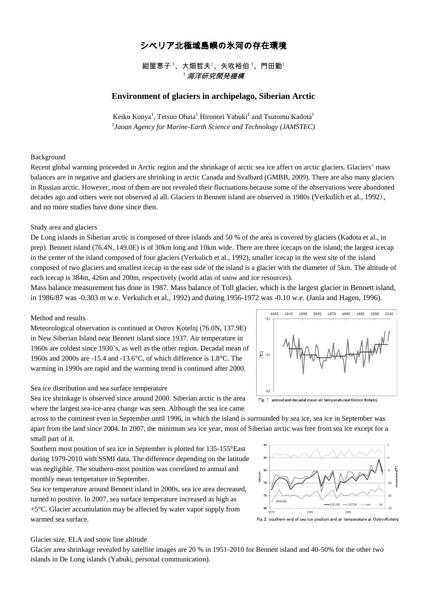# シベリア北極域島嶼の氷河の存在環境

紺屋恵子<sup>1</sup>、大畑哲夫<sup>1</sup>、矢吹裕伯<sup>1</sup>、門田勤<sup>1</sup>  $^{\rm 1}$  海洋研究開発機構

## **Environment of glaciers in archipelago, Siberian Arctic**

Keiko Konya $^1$ , Tetsuo Ohata $^1$  Hironori Yabuki $^1$  and Tsutomu Kadota $^1$ 1 *Jaoan Agency for Marine-Earth Science and Technology (JAMSTEC)*

### Background

Recent global warming proceeded in Arctic region and the shrinkage of arctic sea ice affect on arctic glaciers. Glaciers' mass balances are in negative and glaciers are shrinking in arctic Canada and Svalbard (GMBB, 2009). There are also many glaciers in Russian arctic. However, most of them are not revealed their fluctuations because some of the observations were abandoned decades ago and others were not observed al all. Glaciers in Bennett island are observed in 1980s (Verkulich et al., 1992), and no more studies have done since then.

### Study area and glaciers

De Long islands in Siberian arctic is composed of three islands and 50 % of the area is covered by glaciers (Kadota et al., in prep). Bennett island (76.4N, 149.0E) is of 30km long and 10km wide. There are three icecaps on the island; the largest icecap in the center of the island composed of four glaciers (Verkulich et al., 1992), smaller icecap in the west site of the island composed of two glaciers and smallest icecap in the east side of the island is a glacier with the diameter of 5km. The altitude of each icecap is 384m, 426m and 200m, respectively (world atlas of snow and ice resources).

Mass balance measurement has done in 1987. Mass balance of Toll glacier, which is the largest glacier in Bennett island, in 1986/87 was -0.303 m w.e. Verkulich et al., 1992) and during 1956-1972 was -0.10 w.e. (Jania and Hagen, 1996).

## Method and results

Meteorological observation is continued at Ostrov Kotelnj (76.0N, 137.9E) in New Siberian Island near Bennett island since 1937. Air temperature in 1960s are coldest since 1930's, as well as the other region. Decadal mean of 1960s and 2000s are -15.4 and -13.6°C, of which difference is 1.8°C. The warming in 1990s are rapid and the warming trend is continued after 2000.

#### Sea ice distribution and sea surface temperature

Sea ice shrinkage is observed since around 2000. Siberian arctic is the area where the largest sea-ice-area change was seen. Although the sea ice came



Fig. 1 annual and decadal mean air temperatureat Ostrov Kotelnj

across to the continent even in September until 1996, in which the island is surrounded by sea ice, sea ice in September was apart from the land since 2004. In 2007, the minimum sea ice year, most of Siberian arctic was free from sea ice except for a small part of it.

Southern most position of sea ice in September is plotted for 135-155°East during 1979-2010 with SSMI data. The difference depending on the latitude was negligible. The southern-most position was correlated to annual and monthly mean temperature in September.

Sea ice temperature around Bennett island in 2000s, sea ice area decreased, turned to positive. In 2007, sea surface temperature increased as high as +5°C. Glacier accumulation may be affected by water vapor supply from warmed sea surface.



Fig. 2 southern end of sea ice position and air temperature at OstrovKotelni

### Glacier size, ELA and snow line altitude

Glacier area shrinkage revealed by satellite images are 20 % in 1951-2010 for Bennett island and 40-50% for the other two islands in De Long islands (Yabuki, personal communication).